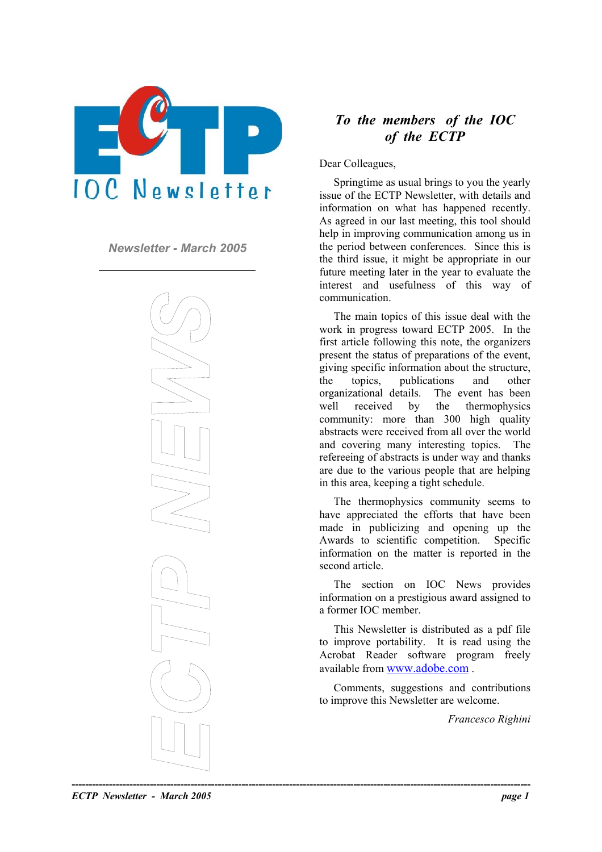

*Newsletter - March 2005* 



## *To the members of the IOC of the ECTP*

Dear Colleagues,

Springtime as usual brings to you the yearly issue of the ECTP Newsletter, with details and information on what has happened recently. As agreed in our last meeting, this tool should help in improving communication among us in the period between conferences. Since this is the third issue, it might be appropriate in our future meeting later in the year to evaluate the interest and usefulness of this way of communication.

The main topics of this issue deal with the work in progress toward ECTP 2005. In the first article following this note, the organizers present the status of preparations of the event, giving specific information about the structure, the topics, publications and other organizational details. The event has been well received by the thermophysics community: more than 300 high quality abstracts were received from all over the world and covering many interesting topics. The refereeing of abstracts is under way and thanks are due to the various people that are helping in this area, keeping a tight schedule.

The thermophysics community seems to have appreciated the efforts that have been made in publicizing and opening up the Awards to scientific competition. Specific information on the matter is reported in the second article.

The section on IOC News provides information on a prestigious award assigned to a former IOC member.

This Newsletter is distributed as a pdf file to improve portability. It is read using the Acrobat Reader software program freely available from [www.adobe.com](http://www.adobe.com/) .

Comments, suggestions and contributions to improve this Newsletter are welcome.

*Francesco Righini* 

*ECTP Newsletter - March 2005 page 1*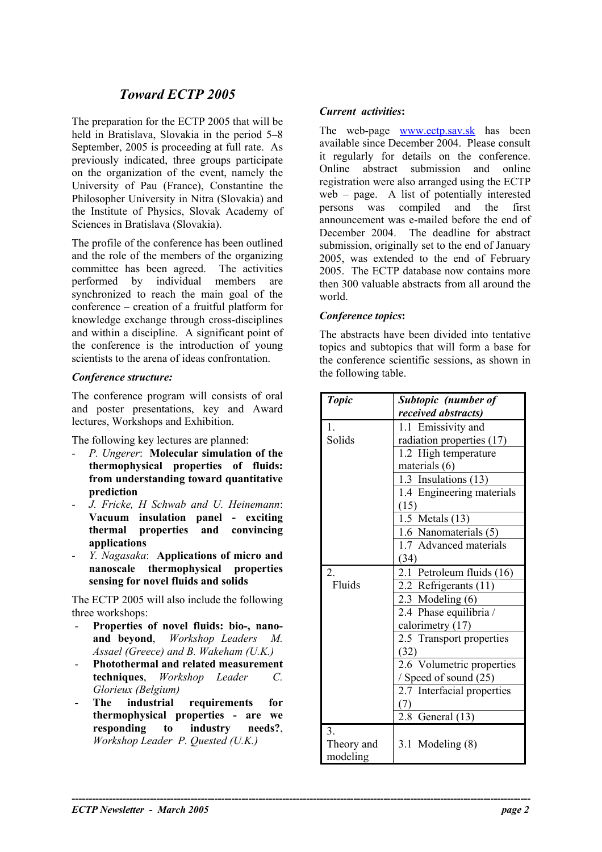# *Toward ECTP 2005*

The preparation for the ECTP 2005 that will be held in Bratislava, Slovakia in the period 5–8 September, 2005 is proceeding at full rate. As previously indicated, three groups participate on the organization of the event, namely the University of Pau (France), Constantine the Philosopher University in Nitra (Slovakia) and the Institute of Physics, Slovak Academy of Sciences in Bratislava (Slovakia).

The profile of the conference has been outlined and the role of the members of the organizing committee has been agreed. The activities performed by individual members are synchronized to reach the main goal of the conference – creation of a fruitful platform for knowledge exchange through cross-disciplines and within a discipline. A significant point of the conference is the introduction of young scientists to the arena of ideas confrontation.

#### **Conference structure:**

The conference program will consists of oral and poster presentations, key and Award lectures, Workshops and Exhibition.

The following key lectures are planned:

- *P. Ungerer*: **Molecular simulation of the thermophysical properties of fluids: from understanding toward quantitative prediction**
- *J. Fricke, H Schwab and U. Heinemann*: **Vacuum insulation panel - exciting thermal properties and convincing applications**
- *Y. Nagasaka*: **Applications of micro and nanoscale thermophysical properties sensing for novel fluids and solids**

The ECTP 2005 will also include the following three workshops:

- **Properties of novel fluids: bio-, nanoand beyond**, *Workshop Leaders M. Assael (Greece) and B. Wakeham (U.K.)* -
- **Photothermal and related measurement techniques**, *Workshop Leader C. Glorieux (Belgium)*
- **The industrial requirements for thermophysical properties - are we responding to industry needs?**, *Workshop Leader P. Quested (U.K.)*

**----------------------------------------------------------------------------------------------------------------------------------------** 

### *Current activities***:**

The web-page [www.ectp.sav.sk](http://www.ectp.sav.sk/) has been available since December 2004. Please consult it regularly for details on the conference. Online abstract submission and online registration were also arranged using the ECTP web – page. A list of potentially interested persons was compiled and the first announcement was e-mailed before the end of December 2004. The deadline for abstract submission, originally set to the end of January 2005, was extended to the end of February 2005. The ECTP database now contains more then 300 valuable abstracts from all around the world.

#### *Conference topics***:**

The abstracts have been divided into tentative topics and subtopics that will form a base for the conference scientific sessions, as shown in

| <b>Topic</b>     | Subtopic (number of        |
|------------------|----------------------------|
|                  | received abstracts)        |
| $\mathbf{1}$     | 1.1 Emissivity and         |
| Solids           | radiation properties (17)  |
|                  | 1.2 High temperature       |
|                  | materials (6)              |
|                  | 1.3 Insulations (13)       |
|                  | 1.4 Engineering materials  |
|                  | (15)                       |
|                  | 1.5 Metals (13)            |
|                  | 1.6 Nanomaterials (5)      |
|                  | 1.7 Advanced materials     |
|                  | (34)                       |
| $\overline{2}$ . | 2.1 Petroleum fluids (16)  |
| Fluids           | 2.2 Refrigerants (11)      |
|                  | 2.3 Modeling (6)           |
|                  | 2.4 Phase equilibria /     |
|                  | calorimetry (17)           |
|                  | 2.5 Transport properties   |
|                  | (32)                       |
|                  | 2.6 Volumetric properties  |
|                  | / Speed of sound (25)      |
|                  | 2.7 Interfacial properties |
|                  | (7)                        |
|                  | 2.8 General $(13)$         |
| 3.               |                            |
| Theory and       | 3.1 Modeling (8)           |
| modeling         |                            |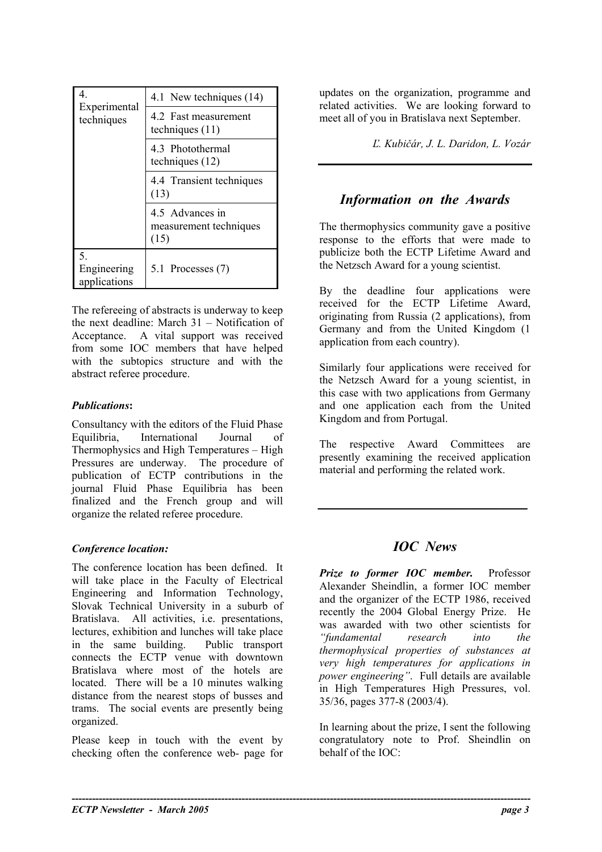| 4.<br>Experimental<br>techniques  | 4.1 New techniques (14)                           |
|-----------------------------------|---------------------------------------------------|
|                                   | 4.2 Fast measurement<br>techniques $(11)$         |
|                                   | 4.3 Photothermal<br>techniques $(12)$             |
|                                   | 4.4 Transient techniques<br>(13)                  |
|                                   | 4.5 Advances in<br>measurement techniques<br>(15) |
| 5.<br>Engineering<br>applications | 5.1 Processes (7)                                 |

The refereeing of abstracts is underway to keep the next deadline: March 31 – Notification of Acceptance. A vital support was received from some IOC members that have helped with the subtopics structure and with the abstract referee procedure.

### *Publications***:**

Consultancy with the editors of the Fluid Phase Equilibria, International Journal of Thermophysics and High Temperatures – High Pressures are underway. The procedure of publication of ECTP contributions in the journal Fluid Phase Equilibria has been finalized and the French group and will organize the related referee procedure.

## *Conference location:*

The conference location has been defined. It will take place in the Faculty of Electrical Engineering and Information Technology, Slovak Technical University in a suburb of Bratislava. All activities, i.e. presentations, lectures, exhibition and lunches will take place in the same building. Public transport connects the ECTP venue with downtown Bratislava where most of the hotels are located. There will be a 10 minutes walking distance from the nearest stops of busses and trams. The social events are presently being organized.

Please keep in touch with the event by checking often the conference web- page for

**----------------------------------------------------------------------------------------------------------------------------------------** 

updates on the organization, programme and related activities. We are looking forward to meet all of you in Bratislava next September.

*Ľ. Kubičár, J. L. Daridon, L. Vozár* 

## *Information on the Awards*

The thermophysics community gave a positive response to the efforts that were made to publicize both the ECTP Lifetime Award and the Netzsch Award for a young scientist.

By the deadline four applications were received for the ECTP Lifetime Award, originating from Russia (2 applications), from Germany and from the United Kingdom (1 application from each country).

Similarly four applications were received for the Netzsch Award for a young scientist, in this case with two applications from Germany and one application each from the United Kingdom and from Portugal.

The respective Award Committees are presently examining the received application material and performing the related work.

# *IOC News*

*\_\_\_\_\_\_\_\_\_\_\_\_\_\_\_\_\_\_\_\_\_\_\_*

*Prize to former IOC member.* Professor Alexander Sheindlin, a former IOC member and the organizer of the ECTP 1986, received recently the 2004 Global Energy Prize. He was awarded with two other scientists for *"fundamental research into the thermophysical properties of substances at very high temperatures for applications in power engineering"*. Full details are available in High Temperatures High Pressures, vol. 35/36, pages 377-8 (2003/4).

In learning about the prize, I sent the following congratulatory note to Prof. Sheindlin on behalf of the IOC: